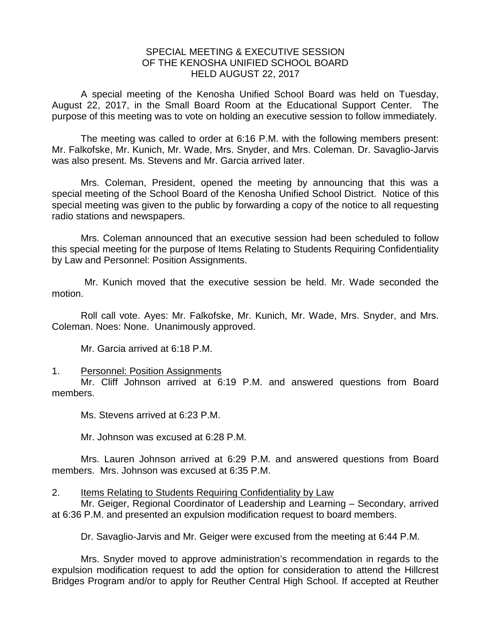## SPECIAL MEETING & EXECUTIVE SESSION OF THE KENOSHA UNIFIED SCHOOL BOARD HELD AUGUST 22, 2017

A special meeting of the Kenosha Unified School Board was held on Tuesday, August 22, 2017, in the Small Board Room at the Educational Support Center. The purpose of this meeting was to vote on holding an executive session to follow immediately.

The meeting was called to order at 6:16 P.M. with the following members present: Mr. Falkofske, Mr. Kunich, Mr. Wade, Mrs. Snyder, and Mrs. Coleman. Dr. Savaglio-Jarvis was also present. Ms. Stevens and Mr. Garcia arrived later.

Mrs. Coleman, President, opened the meeting by announcing that this was a special meeting of the School Board of the Kenosha Unified School District. Notice of this special meeting was given to the public by forwarding a copy of the notice to all requesting radio stations and newspapers.

Mrs. Coleman announced that an executive session had been scheduled to follow this special meeting for the purpose of Items Relating to Students Requiring Confidentiality by Law and Personnel: Position Assignments.

Mr. Kunich moved that the executive session be held. Mr. Wade seconded the motion.

Roll call vote. Ayes: Mr. Falkofske, Mr. Kunich, Mr. Wade, Mrs. Snyder, and Mrs. Coleman. Noes: None. Unanimously approved.

Mr. Garcia arrived at 6:18 P.M.

## 1. Personnel: Position Assignments

Mr. Cliff Johnson arrived at 6:19 P.M. and answered questions from Board members.

Ms. Stevens arrived at 6:23 P.M.

Mr. Johnson was excused at 6:28 P.M.

Mrs. Lauren Johnson arrived at 6:29 P.M. and answered questions from Board members. Mrs. Johnson was excused at 6:35 P.M.

## 2. Items Relating to Students Requiring Confidentiality by Law

Mr. Geiger, Regional Coordinator of Leadership and Learning – Secondary, arrived at 6:36 P.M. and presented an expulsion modification request to board members.

Dr. Savaglio-Jarvis and Mr. Geiger were excused from the meeting at 6:44 P.M.

Mrs. Snyder moved to approve administration's recommendation in regards to the expulsion modification request to add the option for consideration to attend the Hillcrest Bridges Program and/or to apply for Reuther Central High School. If accepted at Reuther